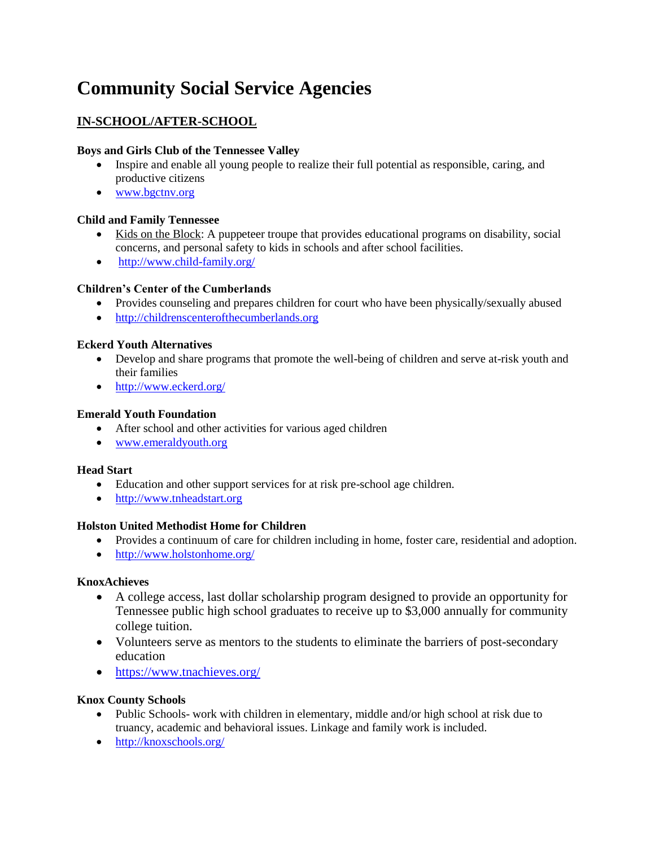# **Community Social Service Agencies**

# **IN-SCHOOL/AFTER-SCHOOL**

## **Boys and Girls Club of the Tennessee Valley**

- Inspire and enable all young people to realize their full potential as responsible, caring, and productive citizens
- [www.bgctnv.org](http://www.bgctnv.org/)

## **Child and Family Tennessee**

- Kids on the Block: A puppeteer troupe that provides educational programs on disability, social concerns, and personal safety to kids in schools and after school facilities.
- <http://www.child-family.org/>

## **Children's Center of the Cumberlands**

- Provides counseling and prepares children for court who have been physically/sexually abused
- [http://childrenscenterofthecumberlands.org](http://childrenscenterofthecumberlands.org/)

## **Eckerd Youth Alternatives**

- Develop and share programs that promote the well-being of children and serve at-risk youth and their families
- <http://www.eckerd.org/>

## **Emerald Youth Foundation**

- After school and other activities for various aged children
- [www.emeraldyouth.org](http://www.emeraldyouth.org/)

## **Head Start**

- Education and other support services for at risk pre-school age children.
- [http://www.tnheadstart.org](http://www.tnheadstart.org/)

## **Holston United Methodist Home for Children**

- Provides a continuum of care for children including in home, foster care, residential and adoption.
- <http://www.holstonhome.org/>

## **KnoxAchieves**

- A college access, last dollar scholarship program designed to provide an opportunity for Tennessee public high school graduates to receive up to \$3,000 annually for community college tuition.
- Volunteers serve as mentors to the students to eliminate the barriers of post-secondary education
- <https://www.tnachieves.org/>

## **Knox County Schools**

- Public Schools- work with children in elementary, middle and/or high school at risk due to truancy, academic and behavioral issues. Linkage and family work is included.
- <http://knoxschools.org/>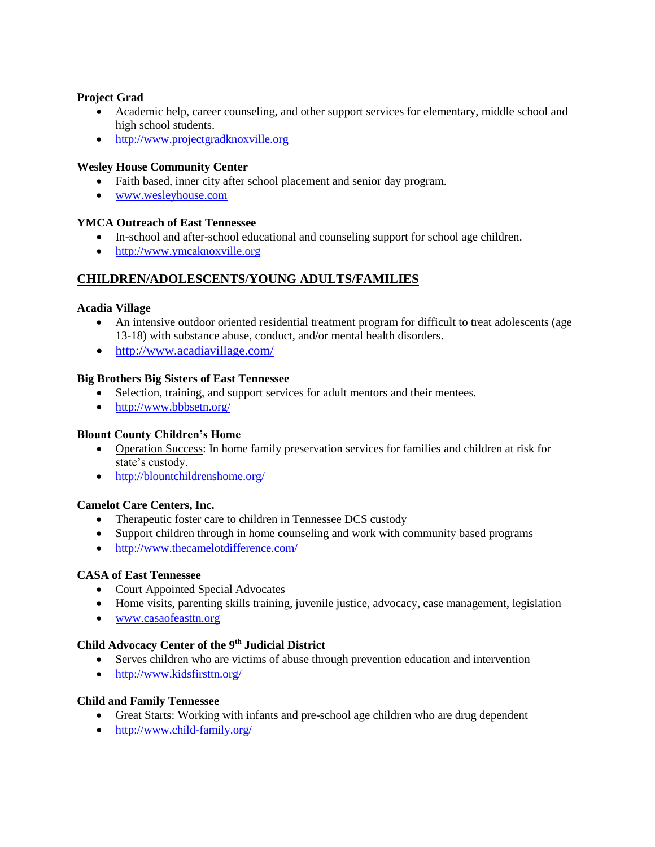## **Project Grad**

- Academic help, career counseling, and other support services for elementary, middle school and high school students.
- [http://www.projectgradknoxville.org](http://www.projectgradknoxville.org/)

## **Wesley House Community Center**

- Faith based, inner city after school placement and senior day program.
- [www.wesleyhouse.com](http://www.wesleyhouse.com/)

## **YMCA Outreach of East Tennessee**

- In-school and after-school educational and counseling support for school age children.
- [http://www.ymcaknoxville.org](http://www.ymcaknoxville.org/)

# **CHILDREN/ADOLESCENTS/YOUNG ADULTS/FAMILIES**

## **Acadia Village**

- An intensive outdoor oriented residential treatment program for difficult to treat adolescents (age 13-18) with substance abuse, conduct, and/or mental health disorders.
- <http://www.acadiavillage.com/>

## **Big Brothers Big Sisters of East Tennessee**

- Selection, training, and support services for adult mentors and their mentees.
- <http://www.bbbsetn.org/>

## **Blount County Children's Home**

- Operation Success: In home family preservation services for families and children at risk for state's custody.
- <http://blountchildrenshome.org/>

## **Camelot Care Centers, Inc.**

- Therapeutic foster care to children in Tennessee DCS custody
- Support children through in home counseling and work with community based programs
- <http://www.thecamelotdifference.com/>

## **CASA of East Tennessee**

- Court Appointed Special Advocates
- Home visits, parenting skills training, juvenile justice, advocacy, case management, legislation
- [www.casaofeasttn.org](http://www.casaofeasttn.org/)

## **Child Advocacy Center of the 9th Judicial District**

- Serves children who are victims of abuse through prevention education and intervention
- <http://www.kidsfirsttn.org/>

## **Child and Family Tennessee**

- Great Starts: Working with infants and pre-school age children who are drug dependent
- <http://www.child-family.org/>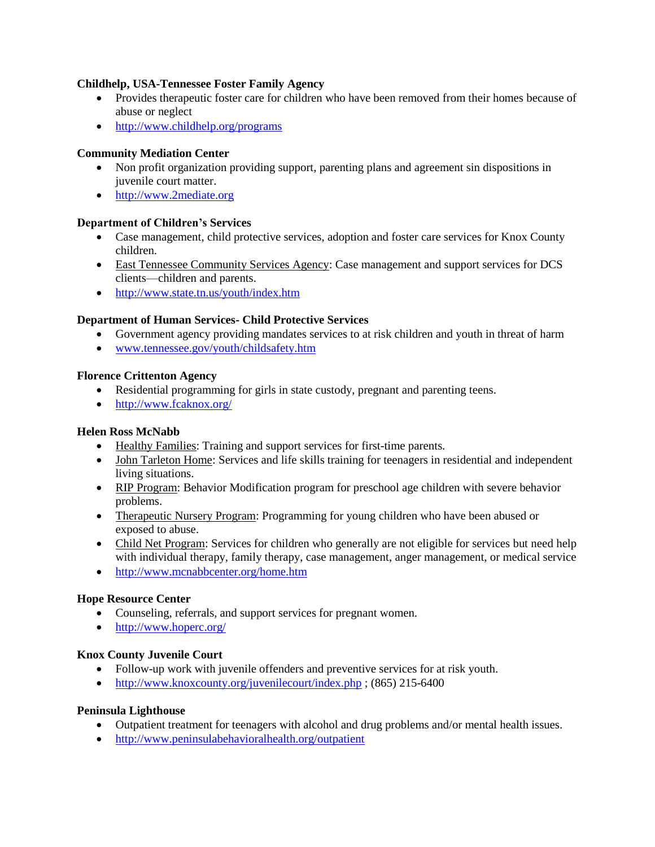#### **Childhelp, USA-Tennessee Foster Family Agency**

- Provides therapeutic foster care for children who have been removed from their homes because of abuse or neglect
- <http://www.childhelp.org/programs>

## **Community Mediation Center**

- Non profit organization providing support, parenting plans and agreement sin dispositions in juvenile court matter.
- [http://www.2mediate.org](http://www.2mediate.org/)

#### **Department of Children's Services**

- Case management, child protective services, adoption and foster care services for Knox County children.
- East Tennessee Community Services Agency: Case management and support services for DCS clients—children and parents.
- <http://www.state.tn.us/youth/index.htm>

#### **Department of Human Services- Child Protective Services**

- Government agency providing mandates services to at risk children and youth in threat of harm
- [www.tennessee.gov/youth/childsafety.htm](http://www.tennessee.gov/youth/childsafety.htm)

#### **Florence Crittenton Agency**

- Residential programming for girls in state custody, pregnant and parenting teens.
- <http://www.fcaknox.org/>

## **Helen Ross McNabb**

- Healthy Families: Training and support services for first-time parents.
- John Tarleton Home: Services and life skills training for teenagers in residential and independent living situations.
- RIP Program: Behavior Modification program for preschool age children with severe behavior problems.
- Therapeutic Nursery Program: Programming for young children who have been abused or exposed to abuse.
- Child Net Program: Services for children who generally are not eligible for services but need help with individual therapy, family therapy, case management, anger management, or medical service
- <http://www.mcnabbcenter.org/home.htm>

#### **Hope Resource Center**

- Counseling, referrals, and support services for pregnant women.
- <http://www.hoperc.org/>

#### **Knox County Juvenile Court**

- Follow-up work with juvenile offenders and preventive services for at risk youth.
- <http://www.knoxcounty.org/juvenilecourt/index.php> ; (865) 215-6400

#### **Peninsula Lighthouse**

- Outpatient treatment for teenagers with alcohol and drug problems and/or mental health issues.
- <http://www.peninsulabehavioralhealth.org/outpatient>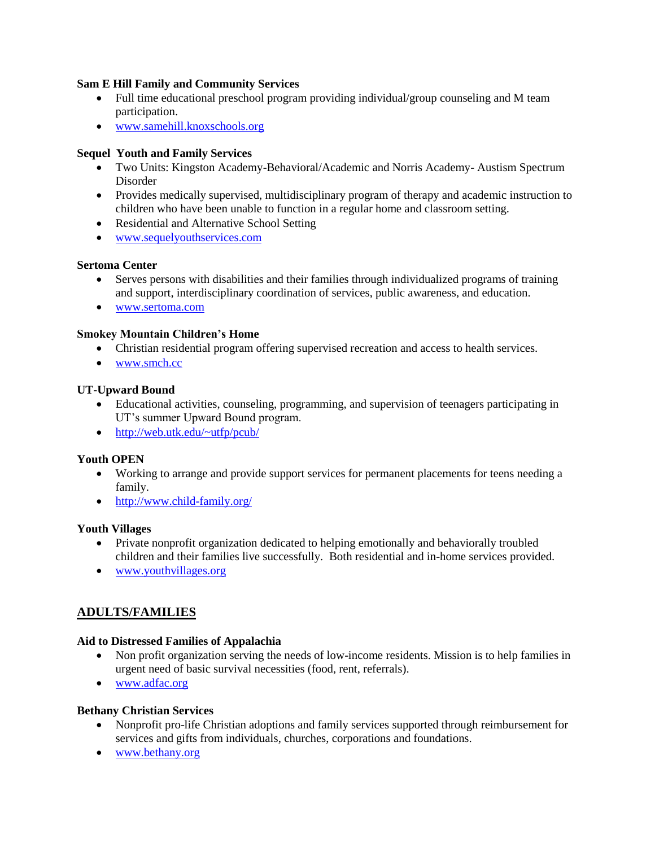#### **Sam E Hill Family and Community Services**

- Full time educational preschool program providing individual/group counseling and M team participation.
- [www.samehill.knoxschools.org](http://www.samehill.knoxschools.org/)

#### **Sequel Youth and Family Services**

- Two Units: Kingston Academy-Behavioral/Academic and Norris Academy- Austism Spectrum Disorder
- Provides medically supervised, multidisciplinary program of therapy and academic instruction to children who have been unable to function in a regular home and classroom setting.
- Residential and Alternative School Setting
- [www.sequelyouthservices.com](http://www.sequelyouthservices.com/)

#### **Sertoma Center**

- Serves persons with disabilities and their families through individualized programs of training and support, interdisciplinary coordination of services, public awareness, and education.
- [www.sertoma.com](http://www.sertoma.com/)

#### **Smokey Mountain Children's Home**

- Christian residential program offering supervised recreation and access to health services.
- [www.smch.cc](http://www.smch.cc/)

#### **UT-Upward Bound**

- Educational activities, counseling, programming, and supervision of teenagers participating in UT's summer Upward Bound program.
- <http://web.utk.edu/~utfp/pcub/>

#### **Youth OPEN**

- Working to arrange and provide support services for permanent placements for teens needing a family.
- <http://www.child-family.org/>

#### **Youth Villages**

- Private nonprofit organization dedicated to helping emotionally and behaviorally troubled children and their families live successfully. Both residential and in-home services provided.
- [www.youthvillages.org](http://www.youthvillages.org/)

# **ADULTS/FAMILIES**

#### **Aid to Distressed Families of Appalachia**

- Non profit organization serving the needs of low-income residents. Mission is to help families in urgent need of basic survival necessities (food, rent, referrals).
- [www.adfac.org](http://www.adfac.org/)

#### **Bethany Christian Services**

- Nonprofit pro-life Christian adoptions and family services supported through reimbursement for services and gifts from individuals, churches, corporations and foundations.
- [www.bethany.org](http://www.bethany.org/)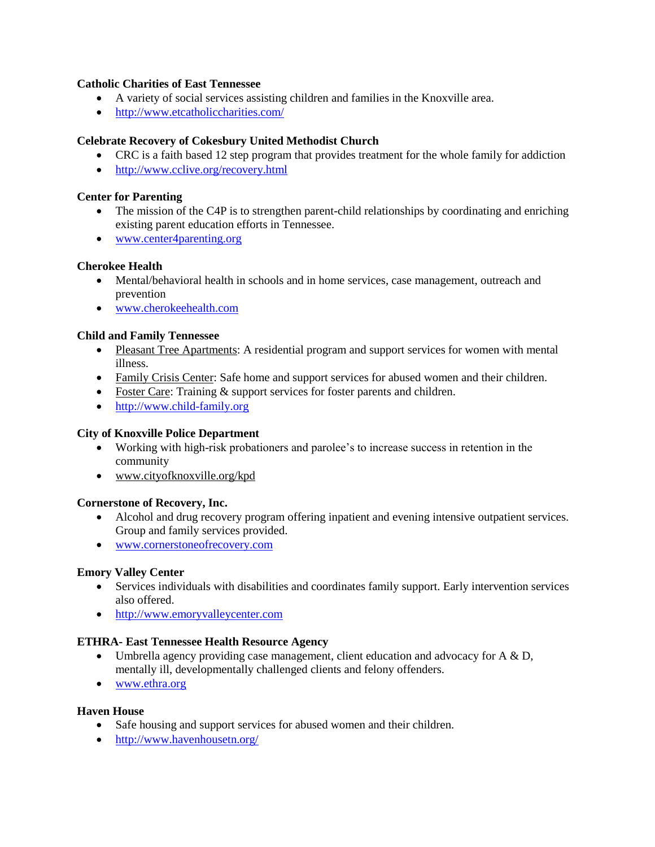#### **Catholic Charities of East Tennessee**

- A variety of social services assisting children and families in the Knoxville area.
- <http://www.etcatholiccharities.com/>

#### **Celebrate Recovery of Cokesbury United Methodist Church**

- CRC is a faith based 12 step program that provides treatment for the whole family for addiction
- <http://www.cclive.org/recovery.html>

## **Center for Parenting**

- The mission of the C4P is to strengthen parent-child relationships by coordinating and enriching existing parent education efforts in Tennessee.
- [www.center4parenting.org](http://www.center4parenting.org/)

#### **Cherokee Health**

- Mental/behavioral health in schools and in home services, case management, outreach and prevention
- [www.cherokeehealth.com](http://www.cherokeehealth.com/)

#### **Child and Family Tennessee**

- Pleasant Tree Apartments: A residential program and support services for women with mental illness.
- Family Crisis Center: Safe home and support services for abused women and their children.
- Foster Care: Training & support services for foster parents and children.
- [http://www.child-family.org](http://www.child-family.org/)

#### **City of Knoxville Police Department**

- Working with high-risk probationers and parolee's to increase success in retention in the community
- [www.cityofknoxville.org/kpd](http://www.cityofknoxville.org/kpd)

#### **Cornerstone of Recovery, Inc.**

- Alcohol and drug recovery program offering inpatient and evening intensive outpatient services. Group and family services provided.
- [www.cornerstoneofrecovery.com](http://www.cornerstoneofrecovery.com/)

#### **Emory Valley Center**

- Services individuals with disabilities and coordinates family support. Early intervention services also offered.
- [http://www.emoryvalleycenter.com](http://www.emoryvalleycenter.com/)

## **ETHRA- East Tennessee Health Resource Agency**

- Umbrella agency providing case management, client education and advocacy for  $A \& D$ , mentally ill, developmentally challenged clients and felony offenders.
- [www.ethra.org](http://www.ethra.org/)

#### **Haven House**

- Safe housing and support services for abused women and their children.
- <http://www.havenhousetn.org/>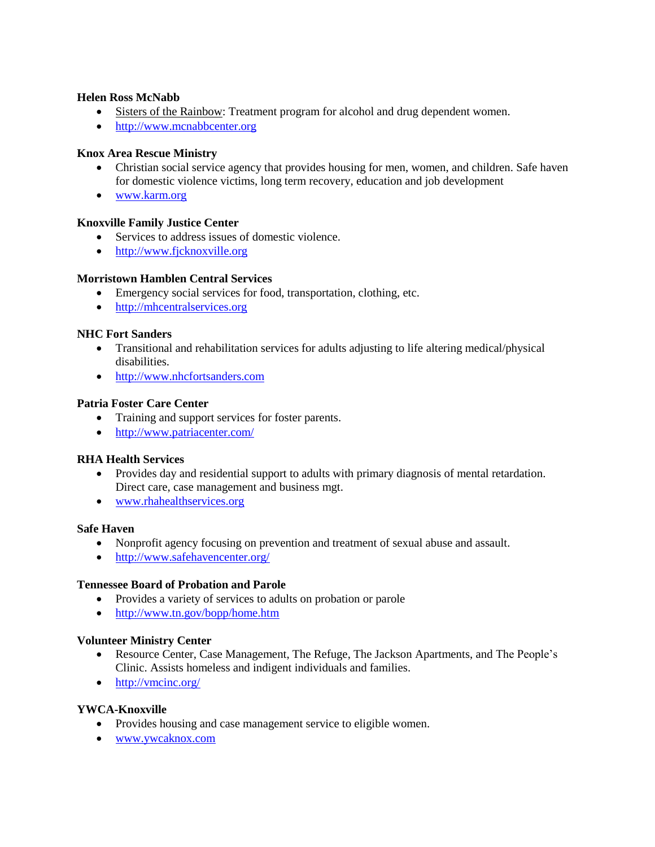#### **Helen Ross McNabb**

- Sisters of the Rainbow: Treatment program for alcohol and drug dependent women.
- [http://www.mcnabbcenter.org](http://www.mcnabbcenter.org/)

#### **Knox Area Rescue Ministry**

- Christian social service agency that provides housing for men, women, and children. Safe haven for domestic violence victims, long term recovery, education and job development
- [www.karm.org](http://www.karm.org/)

#### **Knoxville Family Justice Center**

- Services to address issues of domestic violence.
- [http://www.fjcknoxville.org](http://www.fjcknoxville.org/)

#### **Morristown Hamblen Central Services**

- Emergency social services for food, transportation, clothing, etc.
- [http://mhcentralservices.org](http://mhcentralservices.org/)

#### **NHC Fort Sanders**

- Transitional and rehabilitation services for adults adjusting to life altering medical/physical disabilities.
- [http://www.nhcfortsanders.com](http://www.nhcfortsanders.com/)

#### **Patria Foster Care Center**

- Training and support services for foster parents.
- <http://www.patriacenter.com/>

#### **RHA Health Services**

- Provides day and residential support to adults with primary diagnosis of mental retardation. Direct care, case management and business mgt.
- [www.rhahealthservices.org](http://www.rhahealthservices.org/)

#### **Safe Haven**

- Nonprofit agency focusing on prevention and treatment of sexual abuse and assault.
- <http://www.safehavencenter.org/>

#### **Tennessee Board of Probation and Parole**

- Provides a variety of services to adults on probation or parole
- <http://www.tn.gov/bopp/home.htm>

#### **Volunteer Ministry Center**

- Resource Center, Case Management, The Refuge, The Jackson Apartments, and The People's Clinic. Assists homeless and indigent individuals and families.
- <http://vmcinc.org/>

#### **YWCA-Knoxville**

- Provides housing and case management service to eligible women.
- [www.ywcaknox.com](http://www.ywcaknox.com/)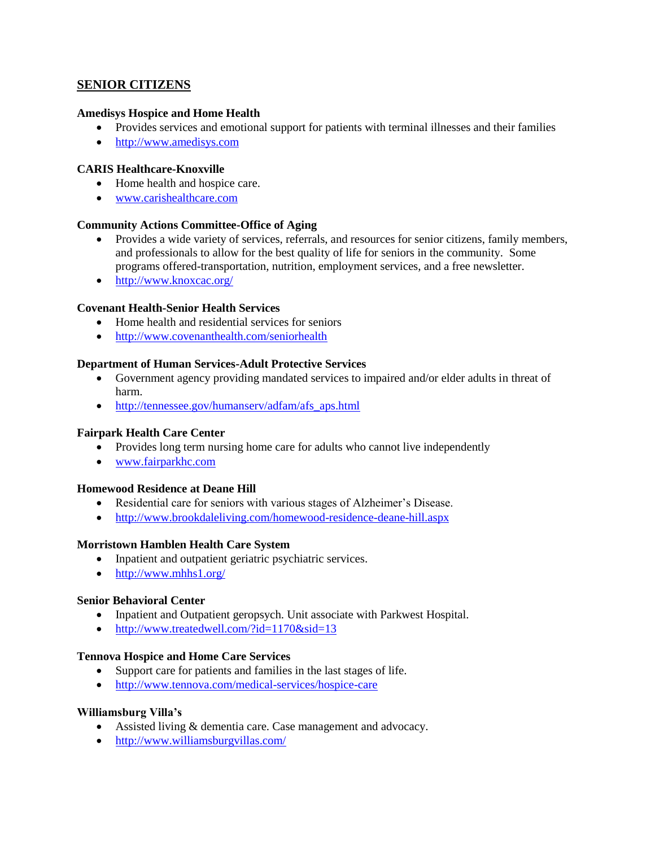## **SENIOR CITIZENS**

#### **Amedisys Hospice and Home Health**

- Provides services and emotional support for patients with terminal illnesses and their families
- [http://www.amedisys.com](http://www.amedisys.com/)

#### **CARIS Healthcare-Knoxville**

- Home health and hospice care.
- [www.carishealthcare.com](http://www.carishealthcare.com/)

#### **Community Actions Committee-Office of Aging**

- Provides a wide variety of services, referrals, and resources for senior citizens, family members, and professionals to allow for the best quality of life for seniors in the community. Some programs offered-transportation, nutrition, employment services, and a free newsletter.
- <http://www.knoxcac.org/>

#### **Covenant Health-Senior Health Services**

- Home health and residential services for seniors
- <http://www.covenanthealth.com/seniorhealth>

#### **Department of Human Services-Adult Protective Services**

- Government agency providing mandated services to impaired and/or elder adults in threat of harm.
- http://tennessee.gov/humanserv/adfam/afs aps.html

## **Fairpark Health Care Center**

- Provides long term nursing home care for adults who cannot live independently
- [www.fairparkhc.com](http://www.fairparkhc.com/)

#### **Homewood Residence at Deane Hill**

- Residential care for seniors with various stages of Alzheimer's Disease.
- <http://www.brookdaleliving.com/homewood-residence-deane-hill.aspx>

#### **Morristown Hamblen Health Care System**

- Inpatient and outpatient geriatric psychiatric services.
- <http://www.mhhs1.org/>

#### **Senior Behavioral Center**

- Inpatient and Outpatient geropsych. Unit associate with Parkwest Hospital.
- <http://www.treatedwell.com/?id=1170&sid=13>

## **Tennova Hospice and Home Care Services**

- Support care for patients and families in the last stages of life.
- <http://www.tennova.com/medical-services/hospice-care>

## **Williamsburg Villa's**

- Assisted living & dementia care. Case management and advocacy.
- <http://www.williamsburgvillas.com/>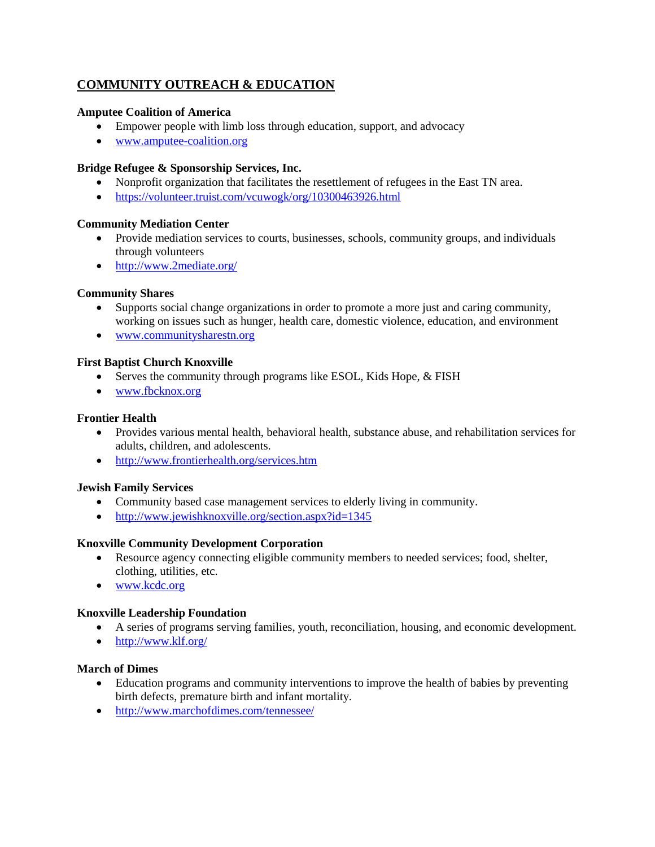# **COMMUNITY OUTREACH & EDUCATION**

#### **Amputee Coalition of America**

- Empower people with limb loss through education, support, and advocacy
- [www.amputee-coalition.org](http://www.amputee-coalition.org/)

#### **Bridge Refugee & Sponsorship Services, Inc.**

- Nonprofit organization that facilitates the resettlement of refugees in the East TN area.
- <https://volunteer.truist.com/vcuwogk/org/10300463926.html>

#### **Community Mediation Center**

- Provide mediation services to courts, businesses, schools, community groups, and individuals through volunteers
- <http://www.2mediate.org/>

#### **Community Shares**

- Supports social change organizations in order to promote a more just and caring community, working on issues such as hunger, health care, domestic violence, education, and environment
- [www.communitysharestn.org](http://www.communitysharestn.org/)

#### **First Baptist Church Knoxville**

- Serves the community through programs like ESOL, Kids Hope, & FISH
- [www.fbcknox.org](http://www.fbcknox.org/)

## **Frontier Health**

- Provides various mental health, behavioral health, substance abuse, and rehabilitation services for adults, children, and adolescents.
- <http://www.frontierhealth.org/services.htm>

#### **Jewish Family Services**

- Community based case management services to elderly living in community.
- <http://www.jewishknoxville.org/section.aspx?id=1345>

#### **Knoxville Community Development Corporation**

- Resource agency connecting eligible community members to needed services; food, shelter, clothing, utilities, etc.
- [www.kcdc.org](http://www.kcdc.org/)

#### **Knoxville Leadership Foundation**

- A series of programs serving families, youth, reconciliation, housing, and economic development.
- <http://www.klf.org/>

#### **March of Dimes**

- Education programs and community interventions to improve the health of babies by preventing birth defects, premature birth and infant mortality.
- <http://www.marchofdimes.com/tennessee/>